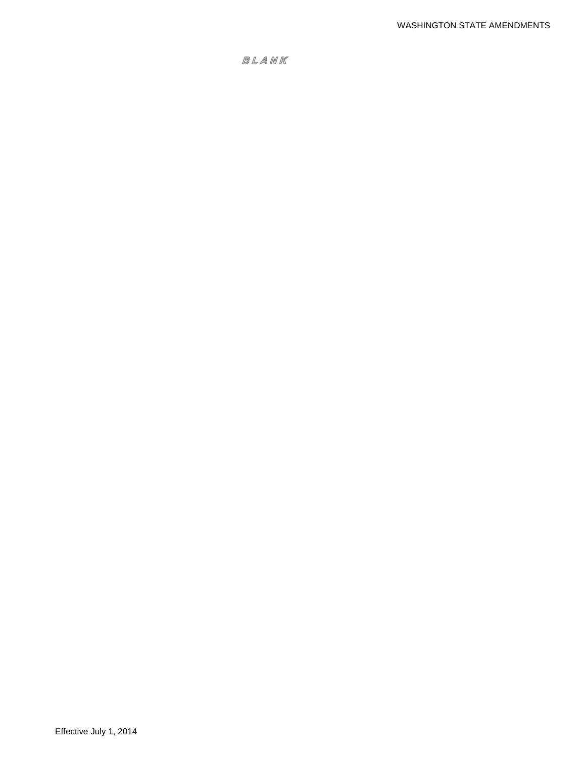BLANK